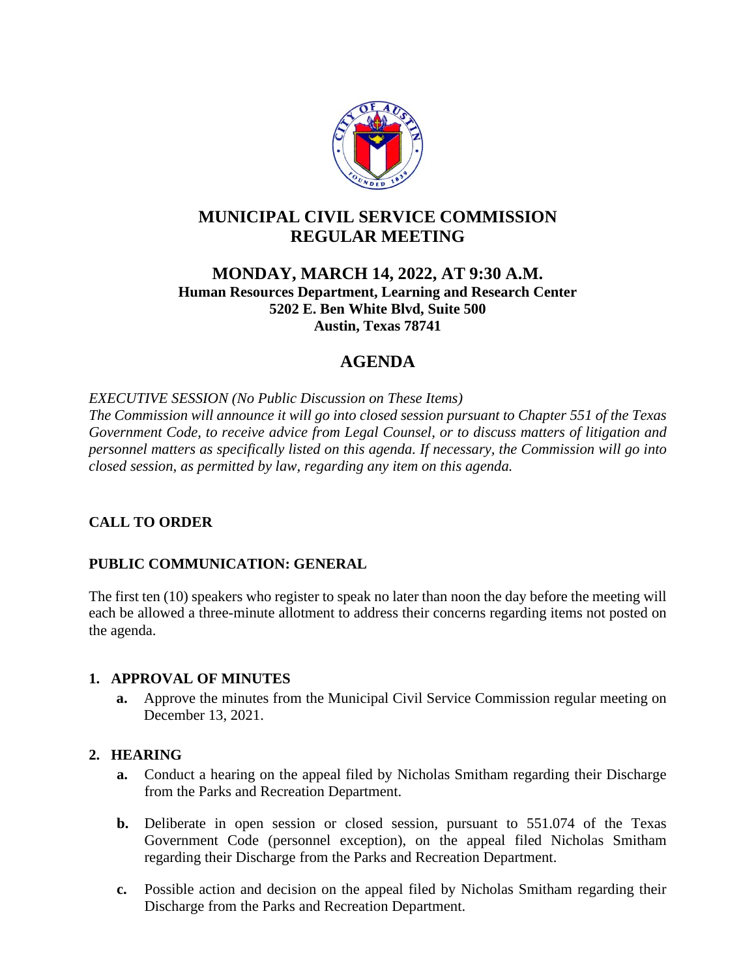

# **MUNICIPAL CIVIL SERVICE COMMISSION REGULAR MEETING**

## **MONDAY, MARCH 14, 2022, AT 9:30 A.M. Human Resources Department, Learning and Research Center 5202 E. Ben White Blvd, Suite 500 Austin, Texas 78741**

# **AGENDA**

*EXECUTIVE SESSION (No Public Discussion on These Items) The Commission will announce it will go into closed session pursuant to Chapter 551 of the Texas Government Code, to receive advice from Legal Counsel, or to discuss matters of litigation and personnel matters as specifically listed on this agenda. If necessary, the Commission will go into closed session, as permitted by law, regarding any item on this agenda.*

# **CALL TO ORDER**

# **PUBLIC COMMUNICATION: GENERAL**

The first ten (10) speakers who register to speak no later than noon the day before the meeting will each be allowed a three-minute allotment to address their concerns regarding items not posted on the agenda.

### **1. APPROVAL OF MINUTES**

**a.** Approve the minutes from the Municipal Civil Service Commission regular meeting on December 13, 2021.

### **2. HEARING**

- **a.** Conduct a hearing on the appeal filed by Nicholas Smitham regarding their Discharge from the Parks and Recreation Department.
- **b.** Deliberate in open session or closed session, pursuant to 551.074 of the Texas Government Code (personnel exception), on the appeal filed Nicholas Smitham regarding their Discharge from the Parks and Recreation Department.
- **c.** Possible action and decision on the appeal filed by Nicholas Smitham regarding their Discharge from the Parks and Recreation Department.